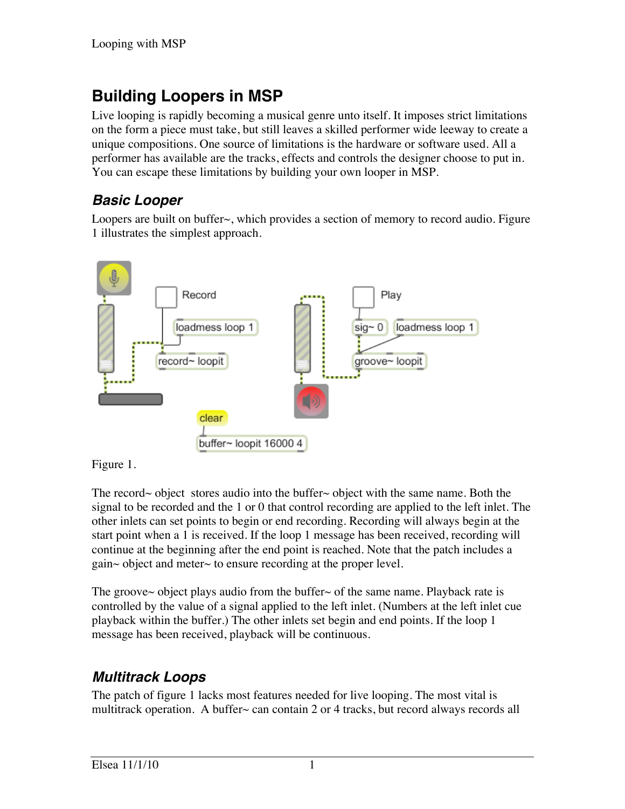# **Building Loopers in MSP**

Live looping is rapidly becoming a musical genre unto itself. It imposes strict limitations on the form a piece must take, but still leaves a skilled performer wide leeway to create a unique compositions. One source of limitations is the hardware or software used. All a performer has available are the tracks, effects and controls the designer choose to put in. You can escape these limitations by building your own looper in MSP.

### *Basic Looper*

Loopers are built on buffer~, which provides a section of memory to record audio. Figure 1 illustrates the simplest approach.



Figure 1.

The record~ object stores audio into the buffer~ object with the same name. Both the signal to be recorded and the 1 or 0 that control recording are applied to the left inlet. The other inlets can set points to begin or end recording. Recording will always begin at the start point when a 1 is received. If the loop 1 message has been received, recording will continue at the beginning after the end point is reached. Note that the patch includes a gain~ object and meter~ to ensure recording at the proper level.

The groove~ object plays audio from the buffer~ of the same name. Playback rate is controlled by the value of a signal applied to the left inlet. (Numbers at the left inlet cue playback within the buffer.) The other inlets set begin and end points. If the loop 1 message has been received, playback will be continuous.

### *Multitrack Loops*

The patch of figure 1 lacks most features needed for live looping. The most vital is multitrack operation. A buffer  $\sim$  can contain 2 or 4 tracks, but record always records all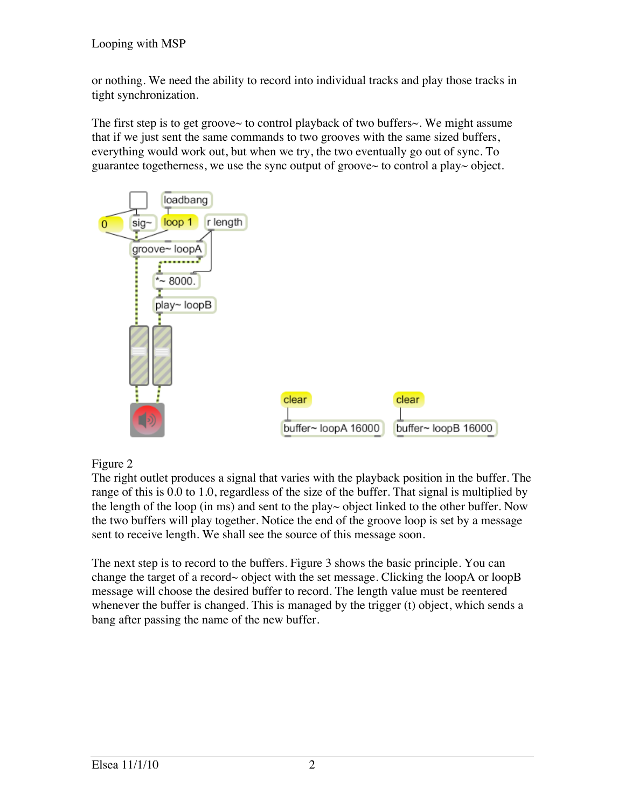or nothing. We need the ability to record into individual tracks and play those tracks in tight synchronization.

The first step is to get groove $\sim$  to control playback of two buffers $\sim$ . We might assume that if we just sent the same commands to two grooves with the same sized buffers, everything would work out, but when we try, the two eventually go out of sync. To guarantee togetherness, we use the sync output of groove~ to control a play~ object.



#### Figure 2

The right outlet produces a signal that varies with the playback position in the buffer. The range of this is 0.0 to 1.0, regardless of the size of the buffer. That signal is multiplied by the length of the loop (in ms) and sent to the play~ object linked to the other buffer. Now the two buffers will play together. Notice the end of the groove loop is set by a message sent to receive length. We shall see the source of this message soon.

The next step is to record to the buffers. Figure 3 shows the basic principle. You can change the target of a record~ object with the set message. Clicking the loopA or loopB message will choose the desired buffer to record. The length value must be reentered whenever the buffer is changed. This is managed by the trigger (t) object, which sends a bang after passing the name of the new buffer.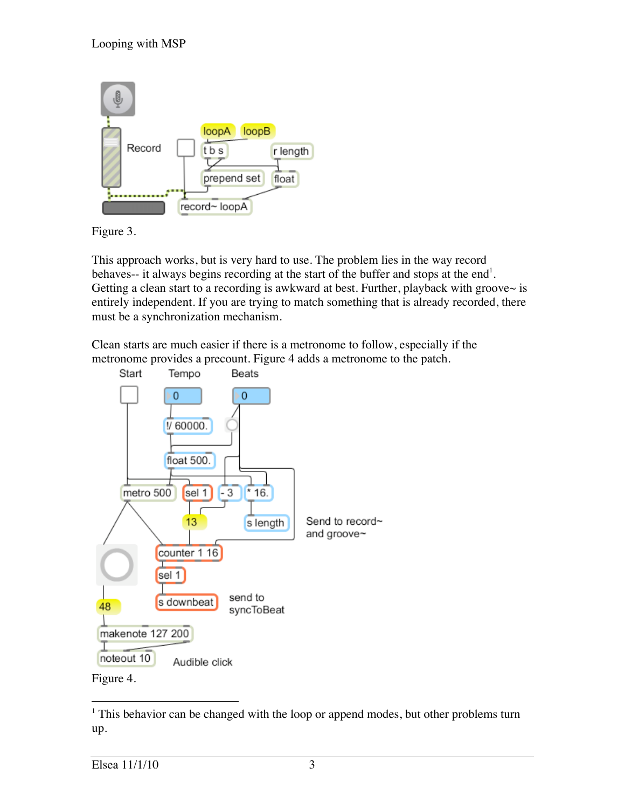

Figure 3.

This approach works, but is very hard to use. The problem lies in the way record behaves-- it always begins recording at the start of the buffer and stops at the end<sup>1</sup>. Getting a clean start to a recording is awkward at best. Further, playback with groove $\sim$  is entirely independent. If you are trying to match something that is already recorded, there must be a synchronization mechanism.

Clean starts are much easier if there is a metronome to follow, especially if the metronome provides a precount. Figure 4 adds a metronome to the patch.



<sup>|&</sup>lt;br>|<br>|  $<sup>1</sup>$  This behavior can be changed with the loop or append modes, but other problems turn</sup> up.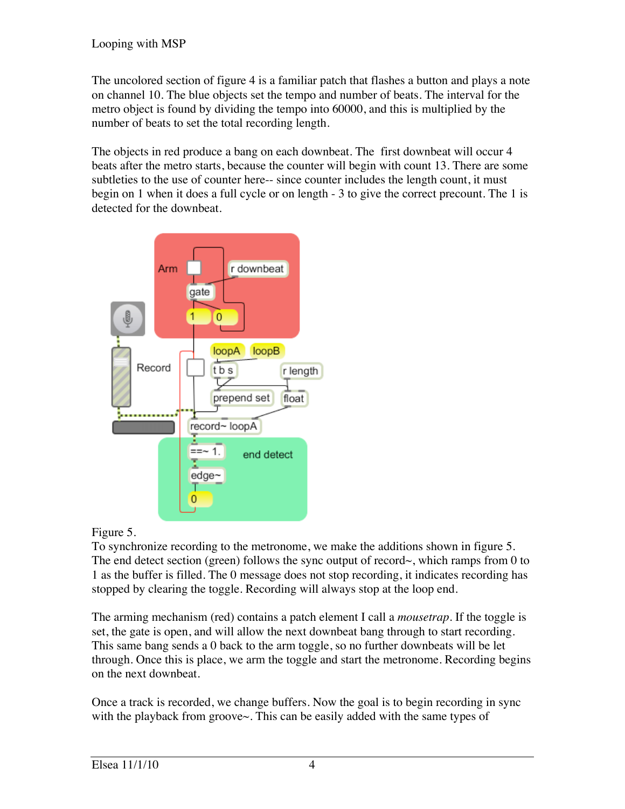The uncolored section of figure 4 is a familiar patch that flashes a button and plays a note on channel 10. The blue objects set the tempo and number of beats. The interval for the metro object is found by dividing the tempo into 60000, and this is multiplied by the number of beats to set the total recording length.

The objects in red produce a bang on each downbeat. The first downbeat will occur 4 beats after the metro starts, because the counter will begin with count 13. There are some subtleties to the use of counter here-- since counter includes the length count, it must begin on 1 when it does a full cycle or on length - 3 to give the correct precount. The 1 is detected for the downbeat.



#### Figure 5.

To synchronize recording to the metronome, we make the additions shown in figure 5. The end detect section (green) follows the sync output of record $\sim$ , which ramps from 0 to 1 as the buffer is filled. The 0 message does not stop recording, it indicates recording has stopped by clearing the toggle. Recording will always stop at the loop end.

The arming mechanism (red) contains a patch element I call a *mousetrap*. If the toggle is set, the gate is open, and will allow the next downbeat bang through to start recording. This same bang sends a 0 back to the arm toggle, so no further downbeats will be let through. Once this is place, we arm the toggle and start the metronome. Recording begins on the next downbeat.

Once a track is recorded, we change buffers. Now the goal is to begin recording in sync with the playback from groove~. This can be easily added with the same types of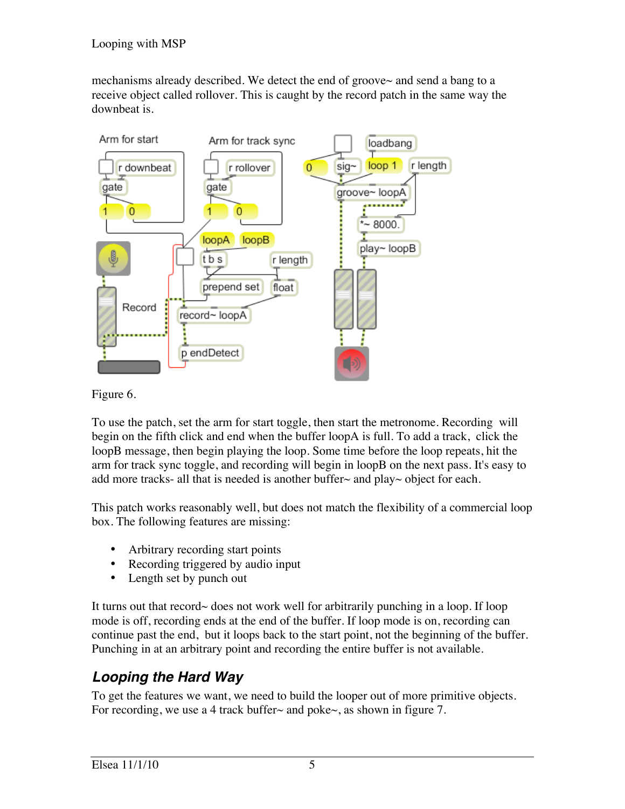mechanisms already described. We detect the end of groove~ and send a bang to a receive object called rollover. This is caught by the record patch in the same way the downbeat is.



Figure 6.

To use the patch, set the arm for start toggle, then start the metronome. Recording will begin on the fifth click and end when the buffer loopA is full. To add a track, click the loopB message, then begin playing the loop. Some time before the loop repeats, hit the arm for track sync toggle, and recording will begin in loopB on the next pass. It's easy to add more tracks- all that is needed is another buffer $\sim$  and play $\sim$  object for each.

This patch works reasonably well, but does not match the flexibility of a commercial loop box. The following features are missing:

- Arbitrary recording start points
- Recording triggered by audio input
- Length set by punch out

It turns out that record~ does not work well for arbitrarily punching in a loop. If loop mode is off, recording ends at the end of the buffer. If loop mode is on, recording can continue past the end, but it loops back to the start point, not the beginning of the buffer. Punching in at an arbitrary point and recording the entire buffer is not available.

## *Looping the Hard Way*

To get the features we want, we need to build the looper out of more primitive objects. For recording, we use a 4 track buffer~ and poke~, as shown in figure 7.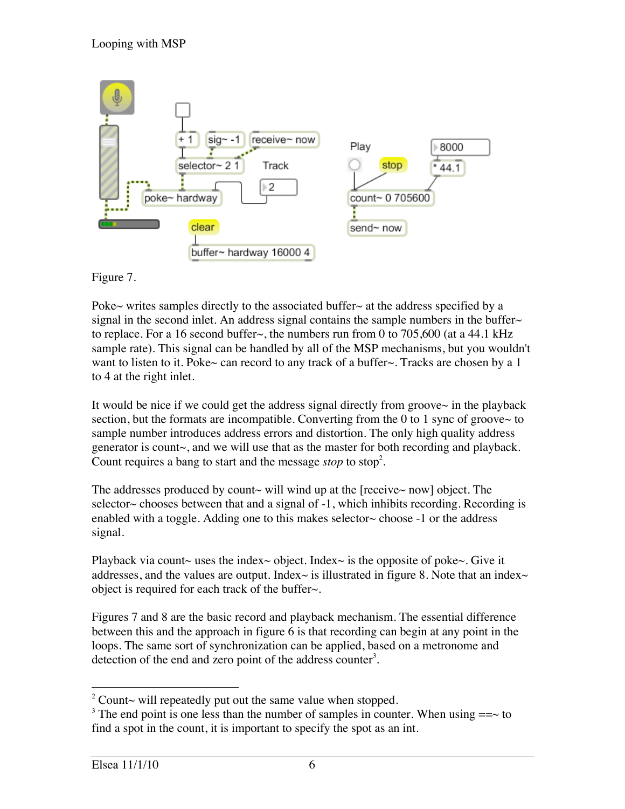

Figure 7.

Poke~ writes samples directly to the associated buffer~ at the address specified by a signal in the second inlet. An address signal contains the sample numbers in the buffer $\sim$ to replace. For a 16 second buffer  $\sim$ , the numbers run from 0 to 705,600 (at a 44.1 kHz sample rate). This signal can be handled by all of the MSP mechanisms, but you wouldn't want to listen to it. Poke~ can record to any track of a buffer~. Tracks are chosen by a 1 to 4 at the right inlet.

It would be nice if we could get the address signal directly from groove $\sim$  in the playback section, but the formats are incompatible. Converting from the  $0$  to 1 sync of groove $\sim$  to sample number introduces address errors and distortion. The only high quality address generator is count~, and we will use that as the master for both recording and playback. Count requires a bang to start and the message *stop* to stop<sup>2</sup>.

The addresses produced by count $\sim$  will wind up at the [receive $\sim$  now] object. The selector $\sim$  chooses between that and a signal of  $-1$ , which inhibits recording. Recording is enabled with a toggle. Adding one to this makes selector $\sim$  choose -1 or the address signal.

Playback via count~ uses the index~ object. Index~ is the opposite of poke~. Give it addresses, and the values are output. Index $\sim$  is illustrated in figure 8. Note that an index $\sim$ object is required for each track of the buffer~.

Figures 7 and 8 are the basic record and playback mechanism. The essential difference between this and the approach in figure 6 is that recording can begin at any point in the loops. The same sort of synchronization can be applied, based on a metronome and detection of the end and zero point of the address counter<sup>3</sup>.

 $\frac{1}{2}$ <sup>2</sup> Count $\sim$  will repeatedly put out the same value when stopped.

<sup>&</sup>lt;sup>3</sup> The end point is one less than the number of samples in counter. When using  $==\sim$  to find a spot in the count, it is important to specify the spot as an int.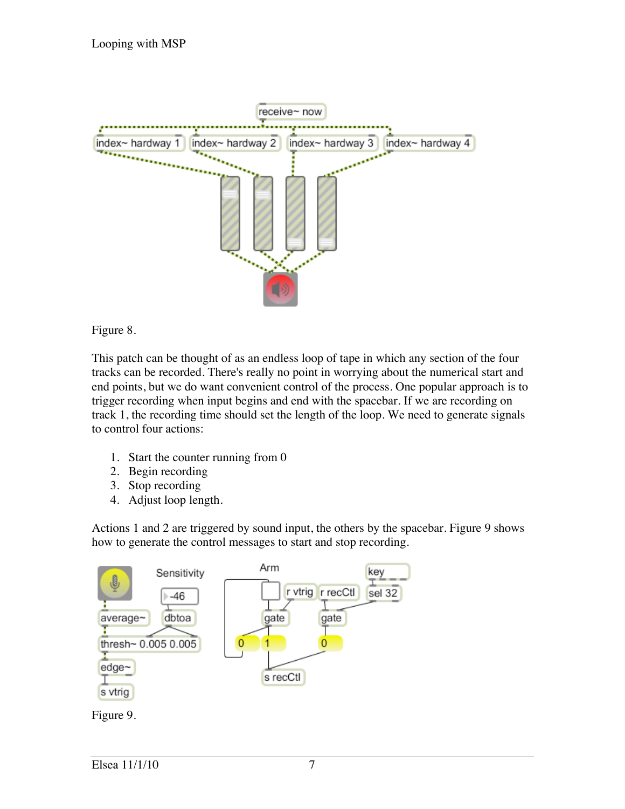

#### Figure 8.

This patch can be thought of as an endless loop of tape in which any section of the four tracks can be recorded. There's really no point in worrying about the numerical start and end points, but we do want convenient control of the process. One popular approach is to trigger recording when input begins and end with the spacebar. If we are recording on track 1, the recording time should set the length of the loop. We need to generate signals to control four actions:

- 1. Start the counter running from 0
- 2. Begin recording
- 3. Stop recording
- 4. Adjust loop length.

Actions 1 and 2 are triggered by sound input, the others by the spacebar. Figure 9 shows how to generate the control messages to start and stop recording.

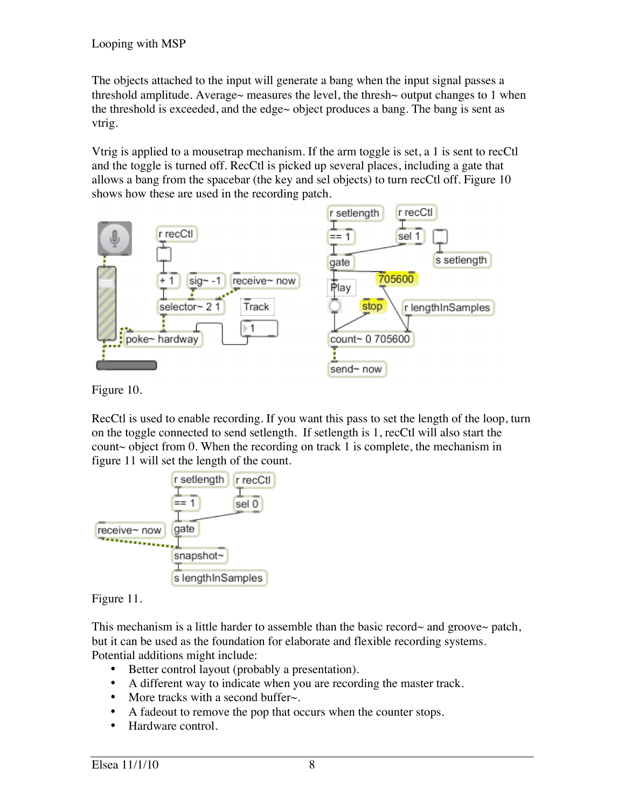The objects attached to the input will generate a bang when the input signal passes a threshold amplitude. Average~ measures the level, the thresh~ output changes to 1 when the threshold is exceeded, and the edge $\sim$  object produces a bang. The bang is sent as vtrig.

Vtrig is applied to a mousetrap mechanism. If the arm toggle is set, a 1 is sent to recCtl and the toggle is turned off. RecCtl is picked up several places, including a gate that allows a bang from the spacebar (the key and sel objects) to turn recCtl off. Figure 10 shows how these are used in the recording patch.

|                                    | r recCtl<br>r setlength   |
|------------------------------------|---------------------------|
| r recCtl<br>⊕                      | sel 1                     |
|                                    | s setlength<br>gate       |
| receive~ now<br>$sig - -1$<br>$+1$ | 705600<br>ι<br>Play       |
| selector~ 2 1<br>Track             | stop<br>r lengthInSamples |
|                                    |                           |
| poke~ hardway                      | count~ 0 705600           |
|                                    | send~ now                 |

Figure 10.

RecCtl is used to enable recording. If you want this pass to set the length of the loop, turn on the toggle connected to send setlength. If setlength is 1, recCtl will also start the count~ object from 0. When the recording on track 1 is complete, the mechanism in figure 11 will set the length of the count.



Figure 11.

This mechanism is a little harder to assemble than the basic record~ and groove~ patch, but it can be used as the foundation for elaborate and flexible recording systems. Potential additions might include:

- Better control layout (probably a presentation).
- A different way to indicate when you are recording the master track.
- More tracks with a second buffer $\sim$ .
- A fadeout to remove the pop that occurs when the counter stops.
- Hardware control.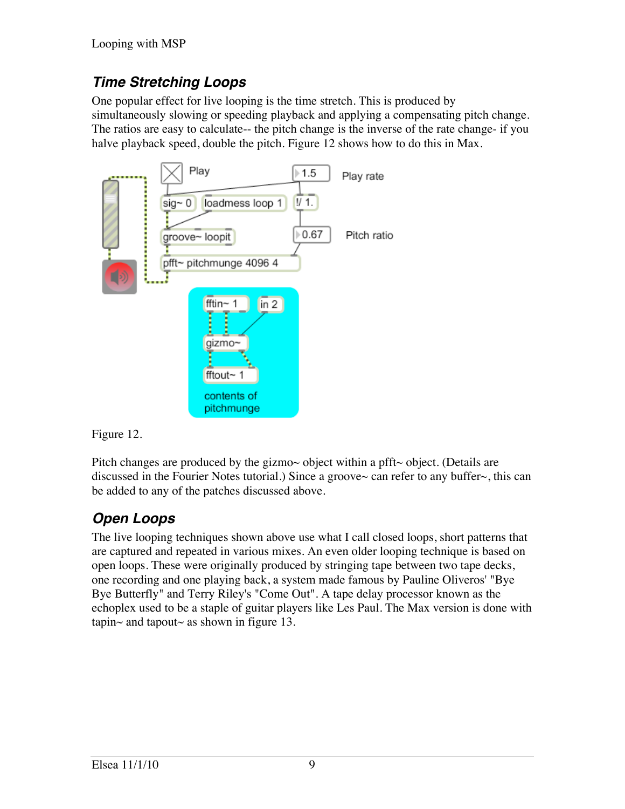## *Time Stretching Loops*

One popular effect for live looping is the time stretch. This is produced by simultaneously slowing or speeding playback and applying a compensating pitch change. The ratios are easy to calculate-- the pitch change is the inverse of the rate change- if you halve playback speed, double the pitch. Figure 12 shows how to do this in Max.



Figure 12.

Pitch changes are produced by the gizmo $\sim$  object within a pfft $\sim$  object. (Details are discussed in the Fourier Notes tutorial.) Since a groove~ can refer to any buffer~, this can be added to any of the patches discussed above.

## *Open Loops*

The live looping techniques shown above use what I call closed loops, short patterns that are captured and repeated in various mixes. An even older looping technique is based on open loops. These were originally produced by stringing tape between two tape decks, one recording and one playing back, a system made famous by Pauline Oliveros' "Bye Bye Butterfly" and Terry Riley's "Come Out". A tape delay processor known as the echoplex used to be a staple of guitar players like Les Paul. The Max version is done with tapin~ and tapout~ as shown in figure 13.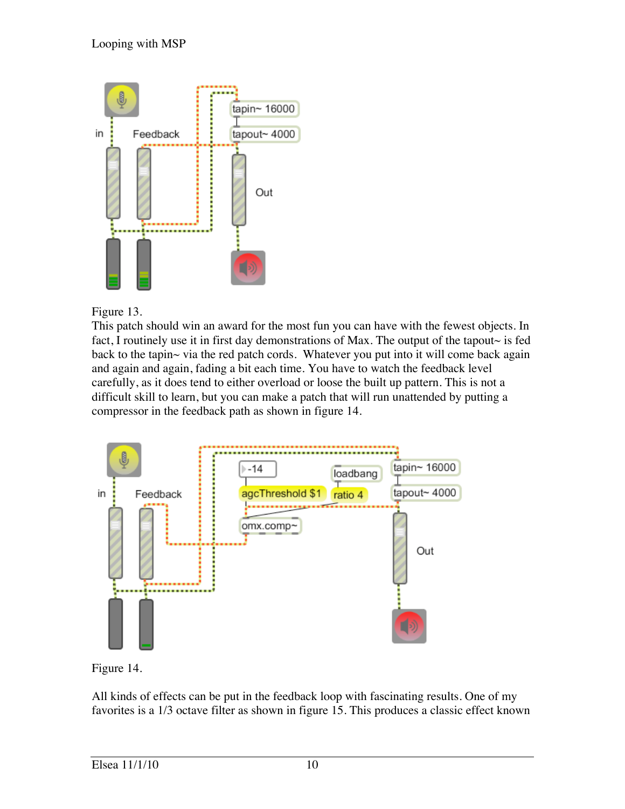

Figure 13.

This patch should win an award for the most fun you can have with the fewest objects. In fact, I routinely use it in first day demonstrations of Max. The output of the tapout $\sim$  is fed back to the tapin~ via the red patch cords. Whatever you put into it will come back again and again and again, fading a bit each time. You have to watch the feedback level carefully, as it does tend to either overload or loose the built up pattern. This is not a difficult skill to learn, but you can make a patch that will run unattended by putting a compressor in the feedback path as shown in figure 14.



Figure 14.

All kinds of effects can be put in the feedback loop with fascinating results. One of my favorites is a 1/3 octave filter as shown in figure 15. This produces a classic effect known